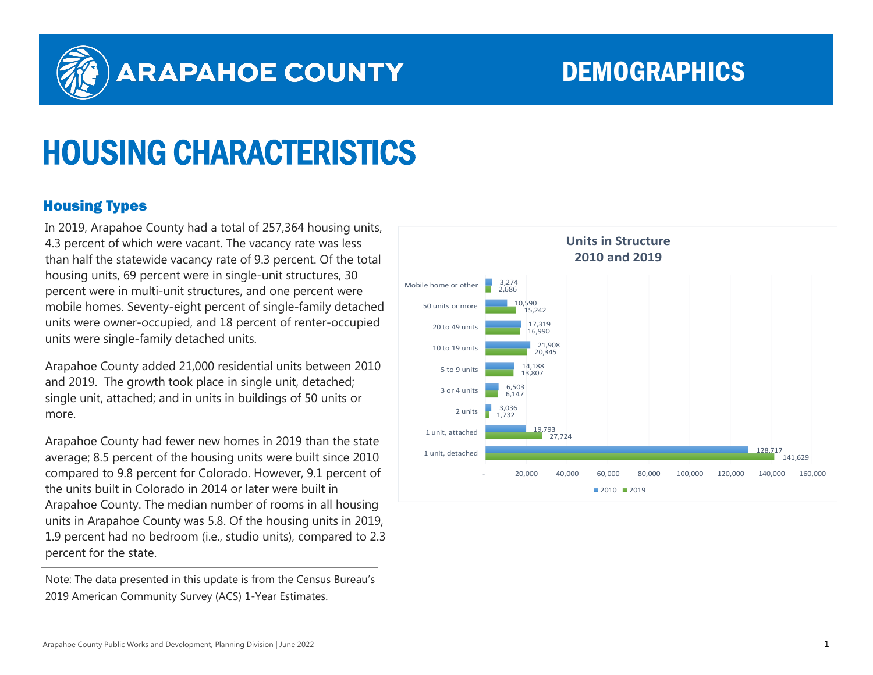

## **ARAPAHOE COUNTY**

### DEMOGRAPHICS

# HOUSING CHARACTERISTICS

#### Housing Types

In 2019, Arapahoe County had a total of 257,364 housing units, 4.3 percent of which were vacant. The vacancy rate was less than half the statewide vacancy rate of 9.3 percent. Of the total housing units, 69 percent were in single-unit structures, 30 percent were in multi-unit structures, and one percent were mobile homes. Seventy-eight percent of single-family detached units were owner-occupied, and 18 percent of renter-occupied units were single-family detached units.

Arapahoe County added 21,000 residential units between 2010 and 2019. The growth took place in single unit, detached; single unit, attached; and in units in buildings of 50 units or more.

Arapahoe County had fewer new homes in 2019 than the state average; 8.5 percent of the housing units were built since 2010 compared to 9.8 percent for Colorado. However, 9.1 percent of the units built in Colorado in 2014 or later were built in Arapahoe County. The median number of rooms in all housing units in Arapahoe County was 5.8. Of the housing units in 2019, 1.9 percent had no bedroom (i.e., studio units), compared to 2.3 percent for the state.

Note: The data presented in this update is from the Census Bureau's 2019 American Community Survey (ACS) 1-Year Estimates.

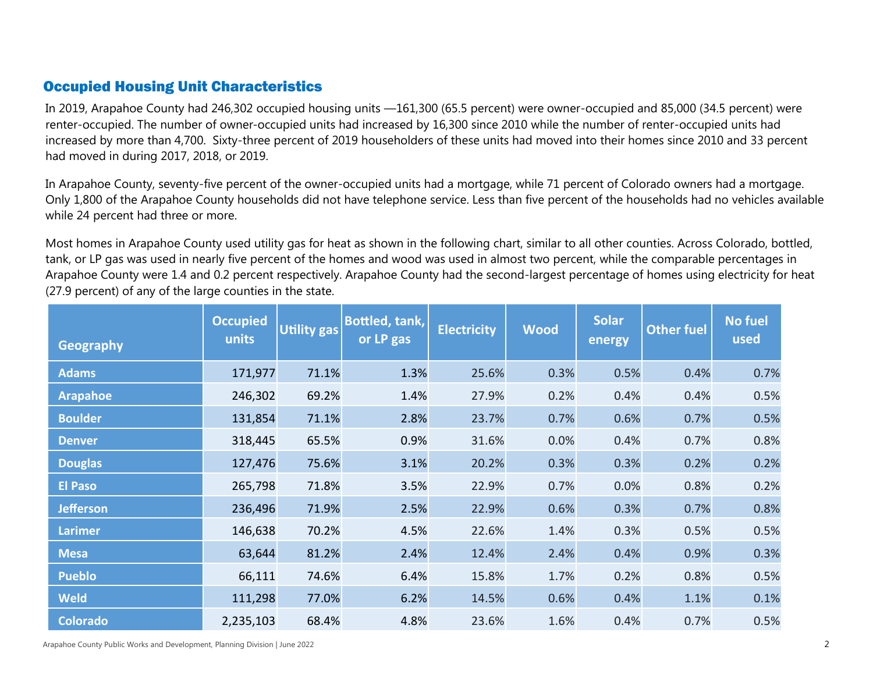#### Occupied Housing Unit Characteristics

In 2019, Arapahoe County had 246,302 occupied housing units —161,300 (65.5 percent) were owner-occupied and 85,000 (34.5 percent) were renter-occupied. The number of owner-occupied units had increased by 16,300 since 2010 while the number of renter-occupied units had increased by more than 4,700. Sixty-three percent of 2019 householders of these units had moved into their homes since 2010 and 33 percent had moved in during 2017, 2018, or 2019.

In Arapahoe County, seventy-five percent of the owner-occupied units had a mortgage, while 71 percent of Colorado owners had a mortgage. Only 1,800 of the Arapahoe County households did not have telephone service. Less than five percent of the households had no vehicles available while 24 percent had three or more.

Most homes in Arapahoe County used utility gas for heat as shown in the following chart, similar to all other counties. Across Colorado, bottled, tank, or LP gas was used in nearly five percent of the homes and wood was used in almost two percent, while the comparable percentages in Arapahoe County were 1.4 and 0.2 percent respectively. Arapahoe County had the second-largest percentage of homes using electricity for heat (27.9 percent) of any of the large counties in the state.

| <b>Geography</b> | <b>Occupied</b><br>units | <b>Utility gas</b> | <b>Bottled, tank,</b><br>or LP gas | <b>Electricity</b> | <b>Wood</b> | <b>Solar</b><br>energy | <b>Other fuel</b> | <b>No fuel</b><br>used |
|------------------|--------------------------|--------------------|------------------------------------|--------------------|-------------|------------------------|-------------------|------------------------|
| <b>Adams</b>     | 171,977                  | 71.1%              | 1.3%                               | 25.6%              | 0.3%        | 0.5%                   | 0.4%              | 0.7%                   |
| <b>Arapahoe</b>  | 246,302                  | 69.2%              | 1.4%                               | 27.9%              | 0.2%        | 0.4%                   | 0.4%              | 0.5%                   |
| <b>Boulder</b>   | 131,854                  | 71.1%              | 2.8%                               | 23.7%              | 0.7%        | 0.6%                   | 0.7%              | 0.5%                   |
| <b>Denver</b>    | 318,445                  | 65.5%              | 0.9%                               | 31.6%              | 0.0%        | 0.4%                   | 0.7%              | 0.8%                   |
| <b>Douglas</b>   | 127,476                  | 75.6%              | 3.1%                               | 20.2%              | 0.3%        | 0.3%                   | 0.2%              | 0.2%                   |
| <b>El Paso</b>   | 265,798                  | 71.8%              | 3.5%                               | 22.9%              | 0.7%        | 0.0%                   | 0.8%              | 0.2%                   |
| <b>Jefferson</b> | 236,496                  | 71.9%              | 2.5%                               | 22.9%              | 0.6%        | 0.3%                   | 0.7%              | 0.8%                   |
| <b>Larimer</b>   | 146,638                  | 70.2%              | 4.5%                               | 22.6%              | 1.4%        | 0.3%                   | 0.5%              | 0.5%                   |
| <b>Mesa</b>      | 63,644                   | 81.2%              | 2.4%                               | 12.4%              | 2.4%        | 0.4%                   | 0.9%              | 0.3%                   |
| <b>Pueblo</b>    | 66,111                   | 74.6%              | 6.4%                               | 15.8%              | 1.7%        | 0.2%                   | 0.8%              | 0.5%                   |
| <b>Weld</b>      | 111,298                  | 77.0%              | 6.2%                               | 14.5%              | 0.6%        | 0.4%                   | 1.1%              | 0.1%                   |
| <b>Colorado</b>  | 2,235,103                | 68.4%              | 4.8%                               | 23.6%              | 1.6%        | 0.4%                   | 0.7%              | 0.5%                   |